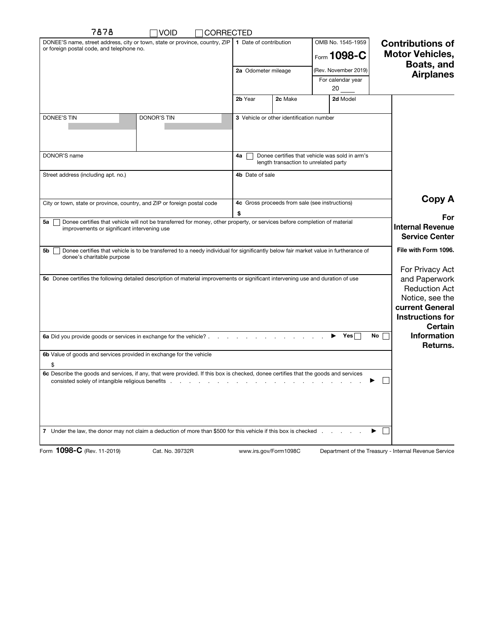| 7878<br><b>VOID</b><br><b>CORRECTED</b>                                                                                                                                        |                                                                                               |                                  |                                                                                                                                      |
|--------------------------------------------------------------------------------------------------------------------------------------------------------------------------------|-----------------------------------------------------------------------------------------------|----------------------------------|--------------------------------------------------------------------------------------------------------------------------------------|
| DONEE'S name, street address, city or town, state or province, country, ZIP<br>or foreign postal code, and telephone no.                                                       | 1 Date of contribution                                                                        | OMB No. 1545-1959<br>Form 1098-C | <b>Contributions of</b><br><b>Motor Vehicles,</b><br>Boats, and                                                                      |
|                                                                                                                                                                                | 2a Odometer mileage                                                                           | (Rev. November 2019)             | <b>Airplanes</b>                                                                                                                     |
|                                                                                                                                                                                |                                                                                               | For calendar year<br>20          |                                                                                                                                      |
|                                                                                                                                                                                | 2c Make<br>2b Year                                                                            | 2d Model                         |                                                                                                                                      |
| <b>DONEE'S TIN</b><br>DONOR'S TIN                                                                                                                                              | 3 Vehicle or other identification number                                                      |                                  |                                                                                                                                      |
| DONOR'S name                                                                                                                                                                   | Donee certifies that vehicle was sold in arm's<br>4а<br>length transaction to unrelated party |                                  |                                                                                                                                      |
| Street address (including apt. no.)                                                                                                                                            | 4b Date of sale                                                                               |                                  |                                                                                                                                      |
| City or town, state or province, country, and ZIP or foreign postal code                                                                                                       | 4c Gross proceeds from sale (see instructions)                                                | Copy A                           |                                                                                                                                      |
| Donee certifies that vehicle will not be transferred for money, other property, or services before completion of material<br>5a<br>improvements or significant intervening use | \$                                                                                            |                                  | For<br><b>Internal Revenue</b><br><b>Service Center</b>                                                                              |
| Donee certifies that vehicle is to be transferred to a needy individual for significantly below fair market value in furtherance of<br>5b<br>donee's charitable purpose        |                                                                                               |                                  | File with Form 1096.                                                                                                                 |
| 5c Donee certifies the following detailed description of material improvements or significant intervening use and duration of use                                              |                                                                                               |                                  | For Privacy Act<br>and Paperwork<br><b>Reduction Act</b><br>Notice, see the<br>current General<br><b>Instructions for</b><br>Certain |
| 6a Did you provide goods or services in exchange for the vehicle?                                                                                                              |                                                                                               | $\blacktriangleright$ Yes        | <b>Information</b><br>No<br>Returns.                                                                                                 |
| 6b Value of goods and services provided in exchange for the vehicle                                                                                                            |                                                                                               |                                  |                                                                                                                                      |
| \$<br>6c Describe the goods and services, if any, that were provided. If this box is checked, donee certifies that the goods and services                                      |                                                                                               |                                  |                                                                                                                                      |
| consisted solely of intangible religious benefits entity of the constant of the consisted solely of intangible religious benefits                                              |                                                                                               |                                  |                                                                                                                                      |
| 7 Under the law, the donor may not claim a deduction of more than \$500 for this vehicle if this box is checked                                                                |                                                                                               |                                  | ▶                                                                                                                                    |
| Form 1098-C (Rev. 11-2019)<br>Cat. No. 39732R                                                                                                                                  | www.irs.gov/Form1098C                                                                         |                                  | Department of the Treasury - Internal Revenue Service                                                                                |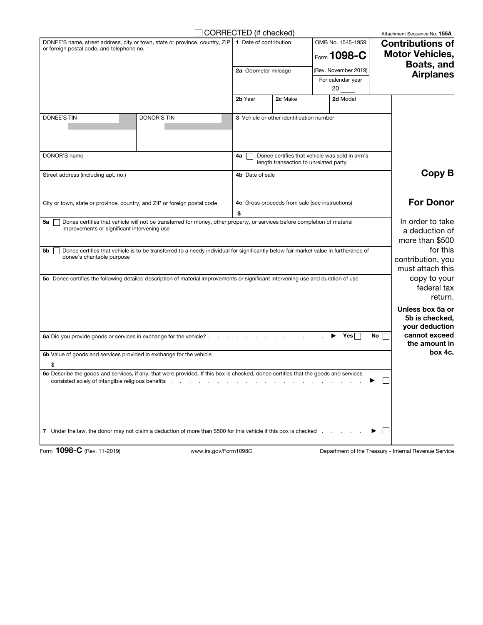|                                                                                                                                                                                                                                                                                                                                                                       | CORRECTED (if checked)                                                                        |                                                            |                                                | Attachment Sequence No. 155A                          |  |
|-----------------------------------------------------------------------------------------------------------------------------------------------------------------------------------------------------------------------------------------------------------------------------------------------------------------------------------------------------------------------|-----------------------------------------------------------------------------------------------|------------------------------------------------------------|------------------------------------------------|-------------------------------------------------------|--|
| DONEE'S name, street address, city or town, state or province, country, ZIP<br>or foreign postal code, and telephone no.                                                                                                                                                                                                                                              |                                                                                               | OMB No. 1545-1959<br>1 Date of contribution<br>Form 1098-C |                                                | <b>Contributions of</b><br><b>Motor Vehicles,</b>     |  |
|                                                                                                                                                                                                                                                                                                                                                                       | 2a Odometer mileage                                                                           |                                                            | (Rev. November 2019)                           | Boats, and                                            |  |
|                                                                                                                                                                                                                                                                                                                                                                       |                                                                                               |                                                            | For calendar year<br>$20$ <sub>——</sub>        | <b>Airplanes</b>                                      |  |
|                                                                                                                                                                                                                                                                                                                                                                       | 2b Year                                                                                       | 2c Make                                                    | 2d Model                                       |                                                       |  |
| <b>DONEE'S TIN</b><br><b>DONOR'S TIN</b>                                                                                                                                                                                                                                                                                                                              |                                                                                               | 3 Vehicle or other identification number                   |                                                |                                                       |  |
| DONOR'S name                                                                                                                                                                                                                                                                                                                                                          | Donee certifies that vehicle was sold in arm's<br>4a<br>length transaction to unrelated party |                                                            |                                                |                                                       |  |
| Street address (including apt. no.)                                                                                                                                                                                                                                                                                                                                   | 4b Date of sale                                                                               |                                                            |                                                | Copy B                                                |  |
| City or town, state or province, country, and ZIP or foreign postal code                                                                                                                                                                                                                                                                                              | \$                                                                                            |                                                            | 4c Gross proceeds from sale (see instructions) | <b>For Donor</b>                                      |  |
| Donee certifies that vehicle will not be transferred for money, other property, or services before completion of material<br>5a<br>improvements or significant intervening use                                                                                                                                                                                        |                                                                                               |                                                            |                                                | In order to take<br>a deduction of<br>more than \$500 |  |
| Donee certifies that vehicle is to be transferred to a needy individual for significantly below fair market value in furtherance of<br>5b<br>donee's charitable purpose                                                                                                                                                                                               |                                                                                               |                                                            |                                                | for this<br>contribution, you<br>must attach this     |  |
| 5c Donee certifies the following detailed description of material improvements or significant intervening use and duration of use                                                                                                                                                                                                                                     |                                                                                               |                                                            |                                                | copy to your<br>federal tax<br>return.                |  |
|                                                                                                                                                                                                                                                                                                                                                                       |                                                                                               |                                                            |                                                | Unless box 5a or<br>5b is checked,<br>your deduction  |  |
| 6a Did you provide goods or services in exchange for the vehicle?                                                                                                                                                                                                                                                                                                     |                                                                                               |                                                            | Yes<br>▶                                       | cannot exceed<br>No<br>the amount in                  |  |
| 6b Value of goods and services provided in exchange for the vehicle<br>\$                                                                                                                                                                                                                                                                                             |                                                                                               |                                                            |                                                | box 4c.                                               |  |
| 6c Describe the goods and services, if any, that were provided. If this box is checked, donee certifies that the goods and services<br>consisted solely of intangible religious benefits entity of the state of the state of the state of the state of the state of the state of the state of the state of the state of the state of the state of the state of the st |                                                                                               |                                                            |                                                |                                                       |  |
| 7 Under the law, the donor may not claim a deduction of more than \$500 for this vehicle if this box is checked                                                                                                                                                                                                                                                       |                                                                                               |                                                            | ▶                                              |                                                       |  |
| Form 1098-C (Rev. 11-2019)<br>www.irs.gov/Form1098C                                                                                                                                                                                                                                                                                                                   |                                                                                               |                                                            |                                                | Department of the Treasury - Internal Revenue Service |  |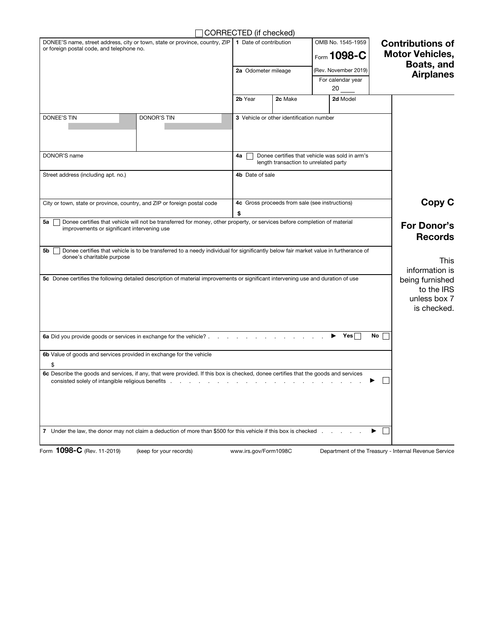| □ CORRECTED (if checked) |  |
|--------------------------|--|
|--------------------------|--|

|                                                                                                                                                                                | CORRECTED (if checked)                                                                        |                                          |                         |                                                              |  |
|--------------------------------------------------------------------------------------------------------------------------------------------------------------------------------|-----------------------------------------------------------------------------------------------|------------------------------------------|-------------------------|--------------------------------------------------------------|--|
| DONEE'S name, street address, city or town, state or province, country, ZIP 1 Date of contribution<br>or foreign postal code, and telephone no.                                |                                                                                               |                                          | OMB No. 1545-1959       | <b>Contributions of</b>                                      |  |
|                                                                                                                                                                                |                                                                                               |                                          | Form 1098-C             | <b>Motor Vehicles,</b>                                       |  |
|                                                                                                                                                                                | 2a Odometer mileage                                                                           |                                          | (Rev. November 2019)    | Boats, and                                                   |  |
|                                                                                                                                                                                |                                                                                               |                                          | For calendar year<br>20 | <b>Airplanes</b>                                             |  |
|                                                                                                                                                                                | 2b Year                                                                                       | 2c Make                                  | 2d Model                |                                                              |  |
| DONEE'S TIN<br><b>DONOR'S TIN</b>                                                                                                                                              |                                                                                               | 3 Vehicle or other identification number |                         |                                                              |  |
| DONOR'S name                                                                                                                                                                   | Donee certifies that vehicle was sold in arm's<br>4а<br>length transaction to unrelated party |                                          |                         |                                                              |  |
| Street address (including apt. no.)                                                                                                                                            | 4b Date of sale                                                                               |                                          |                         |                                                              |  |
| City or town, state or province, country, and ZIP or foreign postal code                                                                                                       | 4c Gross proceeds from sale (see instructions)<br>\$                                          |                                          |                         | Copy C                                                       |  |
| Donee certifies that vehicle will not be transferred for money, other property, or services before completion of material<br>5а<br>improvements or significant intervening use |                                                                                               |                                          |                         | <b>For Donor's</b><br><b>Records</b>                         |  |
| Donee certifies that vehicle is to be transferred to a needy individual for significantly below fair market value in furtherance of<br>5b<br>donee's charitable purpose        |                                                                                               |                                          |                         | <b>This</b><br>information is                                |  |
| 5c Donee certifies the following detailed description of material improvements or significant intervening use and duration of use                                              |                                                                                               |                                          |                         | being furnished<br>to the IRS<br>unless box 7<br>is checked. |  |
| 6a Did you provide goods or services in exchange for the vehicle?                                                                                                              |                                                                                               |                                          | Yes<br>▶                | No                                                           |  |
| 6b Value of goods and services provided in exchange for the vehicle                                                                                                            |                                                                                               |                                          |                         |                                                              |  |
| \$                                                                                                                                                                             |                                                                                               |                                          |                         |                                                              |  |
| 6c Describe the goods and services, if any, that were provided. If this box is checked, donee certifies that the goods and services                                            |                                                                                               |                                          |                         |                                                              |  |
| 7 Under the law, the donor may not claim a deduction of more than \$500 for this vehicle if this box is checked                                                                |                                                                                               |                                          |                         |                                                              |  |

Form 1098-C (Rev. 11-2019) (keep for your records) www.irs.gov/Form1098C

Department of the Treasury - Internal Revenue Service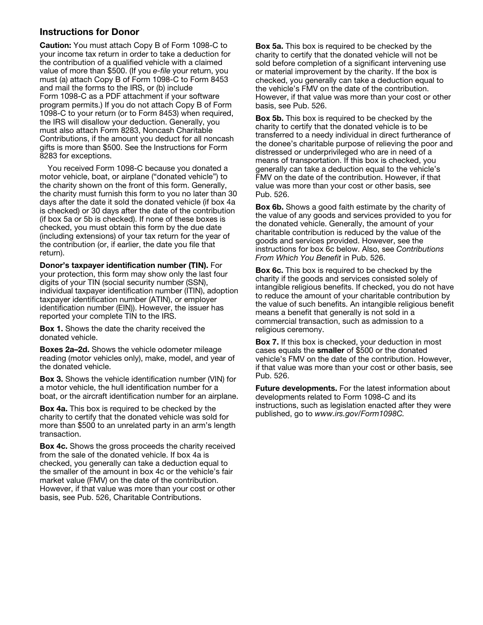## Instructions for Donor

Caution: You must attach Copy B of Form 1098-C to your income tax return in order to take a deduction for the contribution of a qualified vehicle with a claimed value of more than \$500. (If you *e-file* your return, you must (a) attach Copy B of Form 1098-C to Form 8453 and mail the forms to the IRS, or (b) include Form 1098-C as a PDF attachment if your software program permits.) If you do not attach Copy B of Form 1098-C to your return (or to Form 8453) when required, the IRS will disallow your deduction. Generally, you must also attach Form 8283, Noncash Charitable Contributions, if the amount you deduct for all noncash gifts is more than \$500. See the Instructions for Form 8283 for exceptions.

You received Form 1098-C because you donated a motor vehicle, boat, or airplane ("donated vehicle") to the charity shown on the front of this form. Generally, the charity must furnish this form to you no later than 30 days after the date it sold the donated vehicle (if box 4a is checked) or 30 days after the date of the contribution (if box 5a or 5b is checked). If none of these boxes is checked, you must obtain this form by the due date (including extensions) of your tax return for the year of the contribution (or, if earlier, the date you file that return).

Donor's taxpayer identification number (TIN). For your protection, this form may show only the last four digits of your TIN (social security number (SSN), individual taxpayer identification number (ITIN), adoption taxpayer identification number (ATIN), or employer identification number (EIN)). However, the issuer has reported your complete TIN to the IRS.

Box 1. Shows the date the charity received the donated vehicle.

Boxes 2a–2d. Shows the vehicle odometer mileage reading (motor vehicles only), make, model, and year of the donated vehicle.

Box 3. Shows the vehicle identification number (VIN) for a motor vehicle, the hull identification number for a boat, or the aircraft identification number for an airplane.

Box 4a. This box is required to be checked by the charity to certify that the donated vehicle was sold for more than \$500 to an unrelated party in an arm's length transaction.

Box 4c. Shows the gross proceeds the charity received from the sale of the donated vehicle. If box 4a is checked, you generally can take a deduction equal to the smaller of the amount in box 4c or the vehicle's fair market value (FMV) on the date of the contribution. However, if that value was more than your cost or other basis, see Pub. 526, Charitable Contributions.

**Box 5a.** This box is required to be checked by the charity to certify that the donated vehicle will not be sold before completion of a significant intervening use or material improvement by the charity. If the box is checked, you generally can take a deduction equal to the vehicle's FMV on the date of the contribution. However, if that value was more than your cost or other basis, see Pub. 526.

**Box 5b.** This box is required to be checked by the charity to certify that the donated vehicle is to be transferred to a needy individual in direct furtherance of the donee's charitable purpose of relieving the poor and distressed or underprivileged who are in need of a means of transportation. If this box is checked, you generally can take a deduction equal to the vehicle's FMV on the date of the contribution. However, if that value was more than your cost or other basis, see Pub. 526.

Box 6b. Shows a good faith estimate by the charity of the value of any goods and services provided to you for the donated vehicle. Generally, the amount of your charitable contribution is reduced by the value of the goods and services provided. However, see the instructions for box 6c below. Also, see *Contributions From Which You Benefit* in Pub. 526.

**Box 6c.** This box is required to be checked by the charity if the goods and services consisted solely of intangible religious benefits. If checked, you do not have to reduce the amount of your charitable contribution by the value of such benefits. An intangible religious benefit means a benefit that generally is not sold in a commercial transaction, such as admission to a religious ceremony.

Box 7. If this box is checked, your deduction in most cases equals the smaller of \$500 or the donated vehicle's FMV on the date of the contribution. However, if that value was more than your cost or other basis, see Pub. 526.

**Future developments.** For the latest information about developments related to Form 1098-C and its instructions, such as legislation enacted after they were published, go to *www.irs.gov/Form1098C.*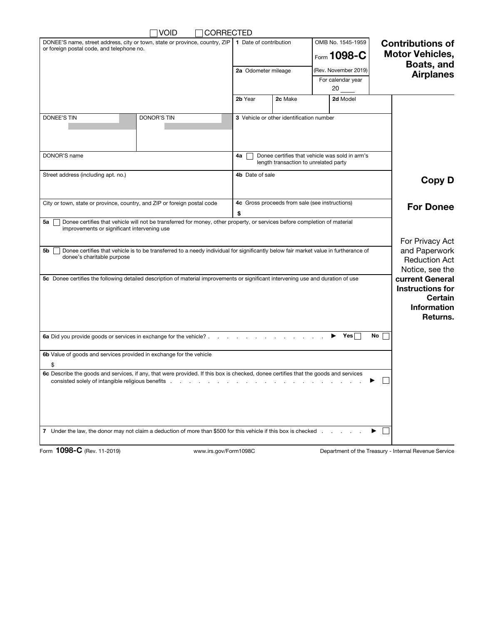| <b>VOID</b><br><b>CORRECTED</b>                                                                                                                                                                                              |                                                                                               |                                          |                                    |                                                                 |  |
|------------------------------------------------------------------------------------------------------------------------------------------------------------------------------------------------------------------------------|-----------------------------------------------------------------------------------------------|------------------------------------------|------------------------------------|-----------------------------------------------------------------|--|
| DONEE'S name, street address, city or town, state or province, country, $\mathbb{ZIP}$   1 Date of contribution<br>or foreign postal code, and telephone no.                                                                 |                                                                                               |                                          | OMB No. 1545-1959<br>Form $1098-C$ | <b>Contributions of</b><br><b>Motor Vehicles,</b><br>Boats, and |  |
|                                                                                                                                                                                                                              | 2a Odometer mileage                                                                           |                                          | (Rev. November 2019)               | <b>Airplanes</b>                                                |  |
|                                                                                                                                                                                                                              |                                                                                               |                                          | For calendar year                  |                                                                 |  |
|                                                                                                                                                                                                                              | 2b Year                                                                                       | 2c Make                                  | 20<br>2d Model                     |                                                                 |  |
|                                                                                                                                                                                                                              |                                                                                               |                                          |                                    |                                                                 |  |
| <b>DONOR'S TIN</b><br>DONEE'S TIN                                                                                                                                                                                            |                                                                                               | 3 Vehicle or other identification number |                                    |                                                                 |  |
| DONOR'S name                                                                                                                                                                                                                 | Donee certifies that vehicle was sold in arm's<br>4a<br>length transaction to unrelated party |                                          |                                    |                                                                 |  |
| Street address (including apt. no.)                                                                                                                                                                                          | 4b Date of sale                                                                               |                                          |                                    | <b>Copy D</b>                                                   |  |
| City or town, state or province, country, and ZIP or foreign postal code                                                                                                                                                     | 4c Gross proceeds from sale (see instructions)<br>\$                                          |                                          |                                    | <b>For Donee</b>                                                |  |
| Donee certifies that vehicle will not be transferred for money, other property, or services before completion of material<br>5a<br>improvements or significant intervening use                                               |                                                                                               |                                          |                                    | For Privacy Act                                                 |  |
| Donee certifies that vehicle is to be transferred to a needy individual for significantly below fair market value in furtherance of<br>5b<br>donee's charitable purpose                                                      |                                                                                               |                                          |                                    | and Paperwork<br><b>Reduction Act</b><br>Notice, see the        |  |
| 5c Donee certifies the following detailed description of material improvements or significant intervening use and duration of use<br>current General<br><b>Instructions for</b><br>Certain<br><b>Information</b><br>Returns. |                                                                                               |                                          |                                    |                                                                 |  |
| 6a Did you provide goods or services in exchange for the vehicle?                                                                                                                                                            |                                                                                               |                                          | Yes <sub>1</sub>                   | No                                                              |  |
| 6b Value of goods and services provided in exchange for the vehicle                                                                                                                                                          |                                                                                               |                                          |                                    |                                                                 |  |
| \$<br>6c Describe the goods and services, if any, that were provided. If this box is checked, donee certifies that the goods and services                                                                                    |                                                                                               |                                          |                                    |                                                                 |  |
| consisted solely of intangible religious benefits                                                                                                                                                                            |                                                                                               |                                          |                                    |                                                                 |  |
| 7 Under the law, the donor may not claim a deduction of more than \$500 for this vehicle if this box is checked.                                                                                                             |                                                                                               |                                          |                                    |                                                                 |  |

Form 1098-C (Rev. 11-2019) www.irs.gov/Form1098C

Department of the Treasury - Internal Revenue Service